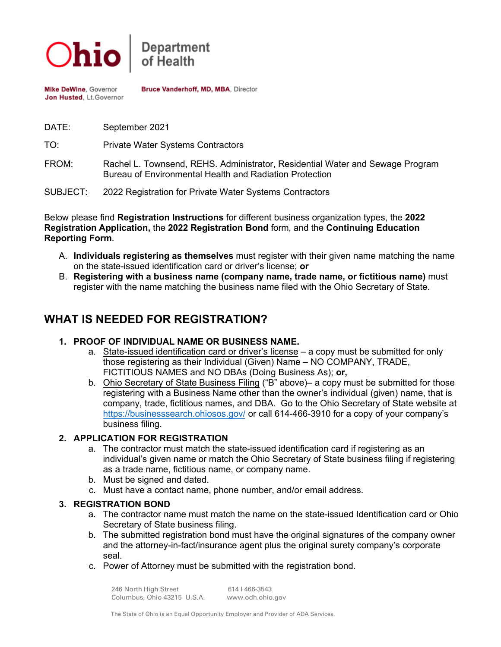

Bruce Vanderhoff, MD, MBA, Director Mike DeWine, Governor Jon Husted, Lt.Governor

DATE: September 2021

TO: Private Water Systems Contractors

- FROM: Rachel L. Townsend, REHS. Administrator, Residential Water and Sewage Program Bureau of Environmental Health and Radiation Protection
- SUBJECT: 2022 Registration for Private Water Systems Contractors

Below please find **Registration Instructions** for different business organization types, the **2022 Registration Application,** the **2022 Registration Bond** form, and the **Continuing Education Reporting Form**.

- A. **Individuals registering as themselves** must register with their given name matching the name on the state-issued identification card or driver's license; **or**
- B. **Registering with a business name (company name, trade name, or fictitious name)** must register with the name matching the business name filed with the Ohio Secretary of State.

# **WHAT IS NEEDED FOR REGISTRATION?**

#### **1. PROOF OF INDIVIDUAL NAME OR BUSINESS NAME.**

- a. State-issued identification card or driver's license a copy must be submitted for only those registering as their Individual (Given) Name – NO COMPANY, TRADE, FICTITIOUS NAMES and NO DBAs (Doing Business As); **or,**
- b. Ohio Secretary of State Business Filing ("B" above)– a copy must be submitted for those registering with a Business Name other than the owner's individual (given) name, that is company, trade, fictitious names, and DBA. Go to the Ohio Secretary of State website at <https://businesssearch.ohiosos.gov/> or call 614-466-3910 for a copy of your company's business filing.

#### **2. APPLICATION FOR REGISTRATION**

- a. The contractor must match the state-issued identification card if registering as an individual's given name or match the Ohio Secretary of State business filing if registering as a trade name, fictitious name, or company name.
- b. Must be signed and dated.
- c. Must have a contact name, phone number, and/or email address.

#### **3. REGISTRATION BOND**

- a. The contractor name must match the name on the state-issued Identification card or Ohio Secretary of State business filing.
- b. The submitted registration bond must have the original signatures of the company owner and the attorney-in-fact/insurance agent plus the original surety company's corporate seal.
- c. Power of Attorney must be submitted with the registration bond.

246 North High Street 614 I 466-3543 Columbus, Ohio 43215 U.S.A. www.odh.ohio.gov

The State of Ohio is an Equal Opportunity Employer and Provider of ADA Services.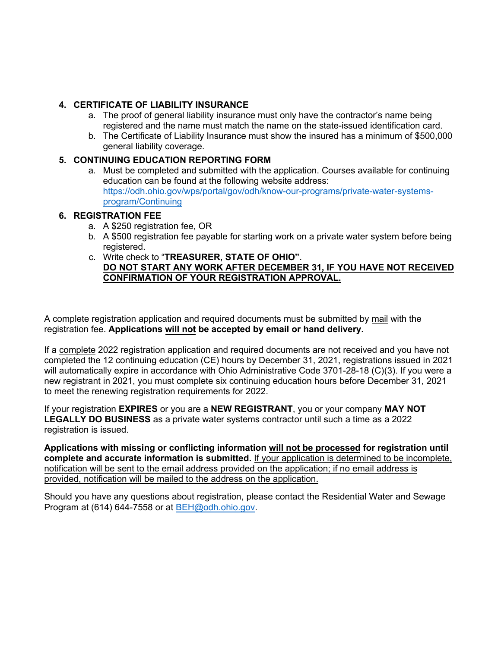### **4. CERTIFICATE OF LIABILITY INSURANCE**

- a. The proof of general liability insurance must only have the contractor's name being registered and the name must match the name on the state-issued identification card.
- b. The Certificate of Liability Insurance must show the insured has a minimum of \$500,000 general liability coverage.

#### **5. CONTINUING EDUCATION REPORTING FORM**

a. Must be completed and submitted with the application. Courses available for continuing education can be found at the following website address: [https://odh.ohio.gov/wps/portal/gov/odh/know-our-programs/private-water-systems](https://odh.ohio.gov/wps/portal/gov/odh/know-our-programs/private-water-systems-program/Continuing)[program/Continuing](https://odh.ohio.gov/wps/portal/gov/odh/know-our-programs/private-water-systems-program/Continuing)

#### **6. REGISTRATION FEE**

- a. A \$250 registration fee, OR
- b. A \$500 registration fee payable for starting work on a private water system before being registered.
- c. Write check to "**TREASURER, STATE OF OHIO"**. **DO NOT START ANY WORK AFTER DECEMBER 31, IF YOU HAVE NOT RECEIVED CONFIRMATION OF YOUR REGISTRATION APPROVAL.**

A complete registration application and required documents must be submitted by mail with the registration fee. **Applications will not be accepted by email or hand delivery.** 

If a complete 2022 registration application and required documents are not received and you have not completed the 12 continuing education (CE) hours by December 31, 2021, registrations issued in 2021 will automatically expire in accordance with Ohio Administrative Code 3701-28-18 (C)(3). If you were a new registrant in 2021, you must complete six continuing education hours before December 31, 2021 to meet the renewing registration requirements for 2022.

If your registration **EXPIRES** or you are a **NEW REGISTRANT**, you or your company **MAY NOT LEGALLY DO BUSINESS** as a private water systems contractor until such a time as a 2022 registration is issued.

**Applications with missing or conflicting information will not be processed for registration until complete and accurate information is submitted.** If your application is determined to be incomplete, notification will be sent to the email address provided on the application; if no email address is provided, notification will be mailed to the address on the application.

Should you have any questions about registration, please contact the Residential Water and Sewage Program at (614) 644-7558 or at [BEH@odh.ohio.gov.](mailto:BEH@odh.ohio.gov)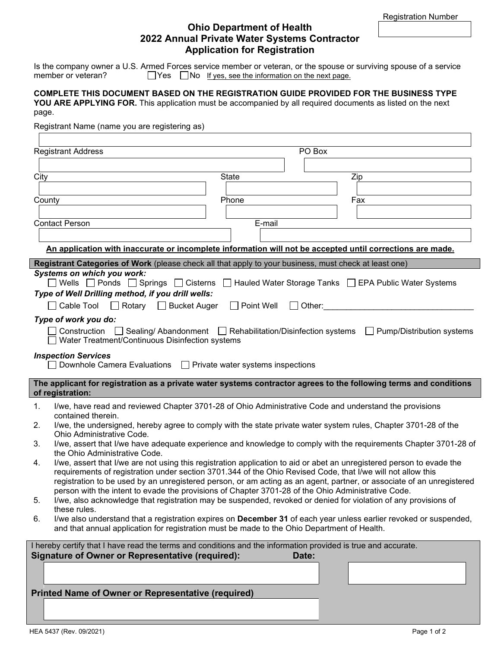#### **Ohio Department of Health 2022 Annual Private Water Systems Contractor Application for Registration**

Is the company owner a U.S. Armed Forces service member or veteran, or the spouse or surviving spouse of a service member or veteran?  $\Box$  Yes  $\Box$  No If yes, see the information on the next page.

#### **COMPLETE THIS DOCUMENT BASED ON THE REGISTRATION GUIDE PROVIDED FOR THE BUSINESS TYPE YOU ARE APPLYING FOR.** This application must be accompanied by all required documents as listed on the next

page.

Registrant Name (name you are registering as)

| <b>Registrant Address</b><br>PO Box                                                                                                                                                                                                  |  |  |  |  |
|--------------------------------------------------------------------------------------------------------------------------------------------------------------------------------------------------------------------------------------|--|--|--|--|
|                                                                                                                                                                                                                                      |  |  |  |  |
| <b>State</b><br>City<br>Zip                                                                                                                                                                                                          |  |  |  |  |
|                                                                                                                                                                                                                                      |  |  |  |  |
| County<br>Phone<br>Fax                                                                                                                                                                                                               |  |  |  |  |
|                                                                                                                                                                                                                                      |  |  |  |  |
| <b>Contact Person</b><br>E-mail                                                                                                                                                                                                      |  |  |  |  |
|                                                                                                                                                                                                                                      |  |  |  |  |
| An application with inaccurate or incomplete information will not be accepted until corrections are made.                                                                                                                            |  |  |  |  |
| Registrant Categories of Work (please check all that apply to your business, must check at least one)                                                                                                                                |  |  |  |  |
| <b>Systems on which you work:</b>                                                                                                                                                                                                    |  |  |  |  |
| ◯ Wells $\Box$ Ponds $\Box$ Springs $\Box$ Cisterns $\Box$ Hauled Water Storage Tanks $\Box$ EPA Public Water Systems                                                                                                                |  |  |  |  |
| Type of Well Drilling method, if you drill wells:                                                                                                                                                                                    |  |  |  |  |
| Cable Tool □ Rotary □ Bucket Auger<br>$\Box$ Point Well<br>$\Box$ Other:                                                                                                                                                             |  |  |  |  |
| Type of work you do:                                                                                                                                                                                                                 |  |  |  |  |
| Construction $\Box$ Sealing/Abandonment $\Box$ Rehabilitation/Disinfection systems $\Box$ Pump/Distribution systems<br>Water Treatment/Continuous Disinfection systems                                                               |  |  |  |  |
| <b>Inspection Services</b>                                                                                                                                                                                                           |  |  |  |  |
| Downhole Camera Evaluations □ Private water systems inspections                                                                                                                                                                      |  |  |  |  |
|                                                                                                                                                                                                                                      |  |  |  |  |
| The applicant for registration as a private water systems contractor agrees to the following terms and conditions<br>of registration:                                                                                                |  |  |  |  |
| I/we, have read and reviewed Chapter 3701-28 of Ohio Administrative Code and understand the provisions<br>1.<br>contained therein.                                                                                                   |  |  |  |  |
| I/we, the undersigned, hereby agree to comply with the state private water system rules, Chapter 3701-28 of the<br>2.                                                                                                                |  |  |  |  |
| Ohio Administrative Code.<br>I/we, assert that I/we have adequate experience and knowledge to comply with the requirements Chapter 3701-28 of<br>3.                                                                                  |  |  |  |  |
| the Ohio Administrative Code.                                                                                                                                                                                                        |  |  |  |  |
| I/we, assert that I/we are not using this registration application to aid or abet an unregistered person to evade the<br>4.                                                                                                          |  |  |  |  |
| requirements of registration under section 3701.344 of the Ohio Revised Code, that I/we will not allow this<br>registration to be used by an unregistered person, or am acting as an agent, partner, or associate of an unregistered |  |  |  |  |
| person with the intent to evade the provisions of Chapter 3701-28 of the Ohio Administrative Code.                                                                                                                                   |  |  |  |  |
| I/we, also acknowledge that registration may be suspended, revoked or denied for violation of any provisions of<br>5.                                                                                                                |  |  |  |  |
| these rules.                                                                                                                                                                                                                         |  |  |  |  |
| I/we also understand that a registration expires on December 31 of each year unless earlier revoked or suspended,<br>6.<br>and that annual application for registration must be made to the Ohio Department of Health.               |  |  |  |  |
| I hereby certify that I have read the terms and conditions and the information provided is true and accurate.                                                                                                                        |  |  |  |  |
| <b>Signature of Owner or Representative (required):</b><br>Date:                                                                                                                                                                     |  |  |  |  |
|                                                                                                                                                                                                                                      |  |  |  |  |
|                                                                                                                                                                                                                                      |  |  |  |  |
| <b>Printed Name of Owner or Representative (required)</b>                                                                                                                                                                            |  |  |  |  |
|                                                                                                                                                                                                                                      |  |  |  |  |
|                                                                                                                                                                                                                                      |  |  |  |  |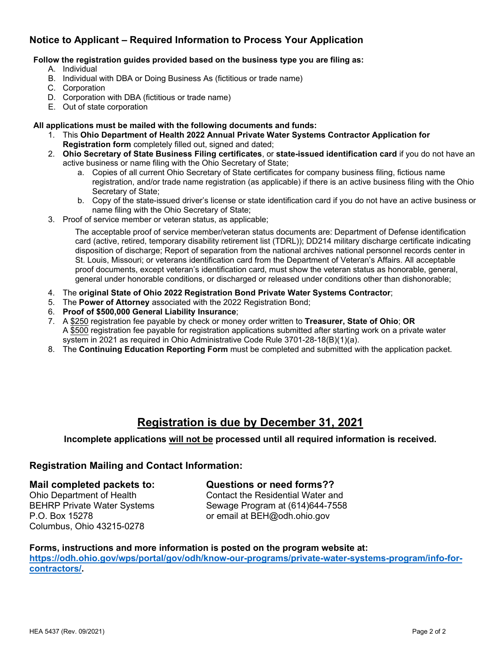## **Notice to Applicant – Required Information to Process Your Application**

#### **Follow the registration guides provided based on the business type you are filing as:**

- A. Individual
- B. Individual with DBA or Doing Business As (fictitious or trade name)
- C. Corporation
- D. Corporation with DBA (fictitious or trade name)
- E. Out of state corporation

#### **All applications must be mailed with the following documents and funds:**

- 1. This **Ohio Department of Health 2022 Annual Private Water Systems Contractor Application for Registration form** completely filled out, signed and dated;
- 2. **Ohio Secretary of State Business Filing certificates**, or **state-issued identification card** if you do not have an active business or name filing with the Ohio Secretary of State;
	- a. Copies of all current Ohio Secretary of State certificates for company business filing, fictious name registration, and/or trade name registration (as applicable) if there is an active business filing with the Ohio Secretary of State;
	- b. Copy of the state-issued driver's license or state identification card if you do not have an active business or name filing with the Ohio Secretary of State;
- 3. Proof of service member or veteran status, as applicable;

 The acceptable proof of service member/veteran status documents are: Department of Defense identification card (active, retired, temporary disability retirement list (TDRL)); DD214 military discharge certificate indicating disposition of discharge; Report of separation from the national archives national personnel records center in St. Louis, Missouri; or veterans identification card from the Department of Veteran's Affairs. All acceptable proof documents, except veteran's identification card, must show the veteran status as honorable, general, general under honorable conditions, or discharged or released under conditions other than dishonorable;

- 4. The **original State of Ohio 2022 Registration Bond Private Water Systems Contractor**;
- 5. The **Power of Attorney** associated with the 2022 Registration Bond;
- 6. **Proof of \$500,000 General Liability Insurance**;
- 7. A \$250 registration fee payable by check or money order written to **Treasurer, State of Ohio**; **OR** A \$500 registration fee payable for registration applications submitted after starting work on a private water system in 2021 as required in Ohio Administrative Code Rule 3701-28-18(B)(1)(a).
- 8. The **Continuing Education Reporting Form** must be completed and submitted with the application packet.

# **Registration is due by December 31, 2021**

#### **Incomplete applications will not be processed until all required information is received.**

#### **Registration Mailing and Contact Information:**

#### **Mail completed packets to: Questions or need forms??**

Ohio Department of Health Contact the Residential Water and P.O. Box 15278 or email at BEH@odh.ohio.gov Columbus, Ohio 43215-0278

BEHRP Private Water Systems Sewage Program at (614)644-7558

# **Forms, instructions and more information is posted on the program website at:**

**[https://odh.ohio.gov/wps/portal/gov/odh/know-our-programs/private-water-systems-program/info-for](https://odh.ohio.gov/wps/portal/gov/odh/know-our-programs/private-water-systems-program/info-for-contractors/)[contractors/.](https://odh.ohio.gov/wps/portal/gov/odh/know-our-programs/private-water-systems-program/info-for-contractors/)**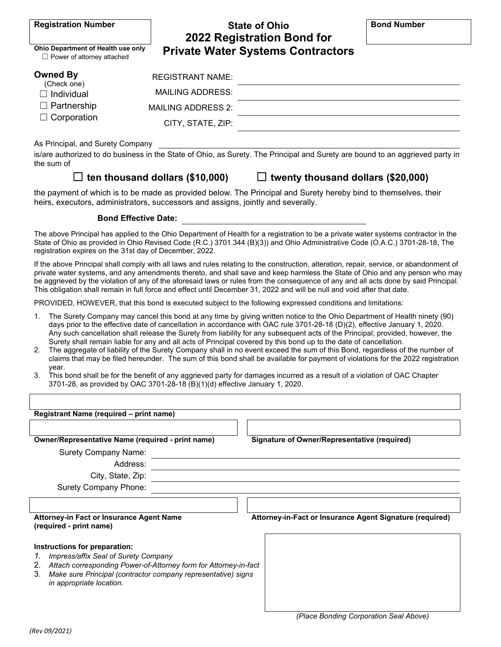| <b>Registration Number</b>                                                                      | <b>State of Ohio</b><br>2022 Registration Bond for |                                          | <b>Bond Number</b> |
|-------------------------------------------------------------------------------------------------|----------------------------------------------------|------------------------------------------|--------------------|
| Ohio Department of Health use only<br>$\Box$ Power of attorney attached                         |                                                    | <b>Private Water Systems Contractors</b> |                    |
| <b>Owned By</b><br>(Check one)<br>$\Box$ Individual<br>$\Box$ Partnership<br>$\Box$ Corporation | <b>REGISTRANT NAME:</b>                            |                                          |                    |
|                                                                                                 | <b>MAILING ADDRESS:</b>                            |                                          |                    |
|                                                                                                 | <b>MAILING ADDRESS 2:</b>                          |                                          |                    |
|                                                                                                 | CITY, STATE, ZIP:                                  |                                          |                    |
| As Principal, and Surety Company                                                                |                                                    |                                          |                    |

is/are authorized to do business in the State of Ohio, as Surety. The Principal and Surety are bound to an aggrieved party in the sum of

☐ **ten thousand dollars (\$10,000)** ☐ **twenty thousand dollars (\$20,000)**

the payment of which is to be made as provided below. The Principal and Surety hereby bind to themselves, their heirs, executors, administrators, successors and assigns, jointly and severally.

#### **Bond Effective Date:**

The above Principal has applied to the Ohio Department of Health for a registration to be a private water systems contractor in the State of Ohio as provided in Ohio Revised Code (R.C.) 3701.344 (B)(3)) and Ohio Administrative Code (O.A.C.) 3701-28-18, The registration expires on the 31st day of December, 2022.

If the above Principal shall comply with all laws and rules relating to the construction, alteration, repair, service, or abandonment of private water systems, and any amendments thereto, and shall save and keep harmless the State of Ohio and any person who may be aggrieved by the violation of any of the aforesaid laws or rules from the consequence of any and all acts done by said Principal. This obligation shall remain in full force and effect until December 31, 2022 and will be null and void after that date.

PROVIDED, HOWEVER, that this bond is executed subject to the following expressed conditions and limitations:

- 1. The Surety Company may cancel this bond at any time by giving written notice to the Ohio Department of Health ninety (90) days prior to the effective date of cancellation in accordance with OAC rule 3701-28-18 (D)(2), effective January 1, 2020. Any such cancellation shall release the Surety from liability for any subsequent acts of the Principal; provided, however, the Surety shall remain liable for any and all acts of Principal covered by this bond up to the date of cancellation.
- 2. The aggregate of liability of the Surety Company shall in no event exceed the sum of this Bond, regardless of the number of claims that may be filed hereunder. The sum of this bond shall be available for payment of violations for the 2022 registration year.
- 3. This bond shall be for the benefit of any aggrieved party for damages incurred as a result of a violation of OAC Chapter 3701-28, as provided by OAC 3701-28-18 (B)(1)(d) effective January 1, 2020.

| Registrant Name (required – print name)                                                                                                                                                                                                                                                                                                                                                     |                                                     |  |  |
|---------------------------------------------------------------------------------------------------------------------------------------------------------------------------------------------------------------------------------------------------------------------------------------------------------------------------------------------------------------------------------------------|-----------------------------------------------------|--|--|
|                                                                                                                                                                                                                                                                                                                                                                                             |                                                     |  |  |
| <b>Owner/Representative Name (required - print name)</b>                                                                                                                                                                                                                                                                                                                                    | <b>Signature of Owner/Representative (required)</b> |  |  |
| <b>Surety Company Name:</b>                                                                                                                                                                                                                                                                                                                                                                 |                                                     |  |  |
| Address:                                                                                                                                                                                                                                                                                                                                                                                    |                                                     |  |  |
| City, State, Zip:                                                                                                                                                                                                                                                                                                                                                                           |                                                     |  |  |
| <b>Surety Company Phone:</b>                                                                                                                                                                                                                                                                                                                                                                |                                                     |  |  |
| Attorney-in-Fact or Insurance Agent Signature (required)<br>Attorney-in Fact or Insurance Agent Name<br>(required - print name)<br>Instructions for preparation:<br>Impress/affix Seal of Surety Company<br>7.<br>Attach corresponding Power-of-Attorney form for Attorney-in-fact<br>2.<br>3.<br>Make sure Principal (contractor company representative) signs<br>in appropriate location. |                                                     |  |  |